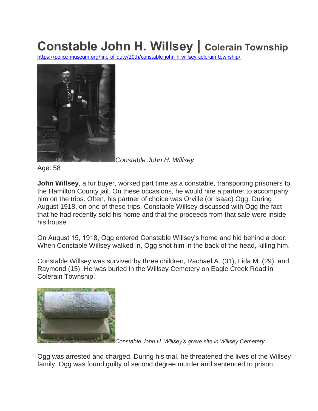## **Constable John H. Willsey | Colerain Township**

<https://police-museum.org/line-of-duty/20th/constable-john-h-willsey-colerain-township/>



*Constable John H. Willsey*

Age: 58

**John Willsey**, a fur buyer, worked part time as a constable, transporting prisoners to the Hamilton County jail. On these occasions, he would hire a partner to accompany him on the trips. Often, his partner of choice was Orville (or Isaac) Ogg. During August 1918, on one of these trips, Constable Willsey discussed with Ogg the fact that he had recently sold his home and that the proceeds from that sale were inside his house.

On August 15, 1918, Ogg entered Constable Willsey's home and hid behind a door. When Constable Willsey walked in, Ogg shot him in the back of the head, killing him.

Constable Willsey was survived by three children, Rachael A. (31), Lida M. (29), and Raymond (15). He was buried in the Willsey Cemetery on Eagle Creek Road in Colerain Township.



*Constable John H. Willsey's grave site in Willsey Cemetery*

Ogg was arrested and charged. During his trial, he threatened the lives of the Willsey family. Ogg was found guilty of second degree murder and sentenced to prison.